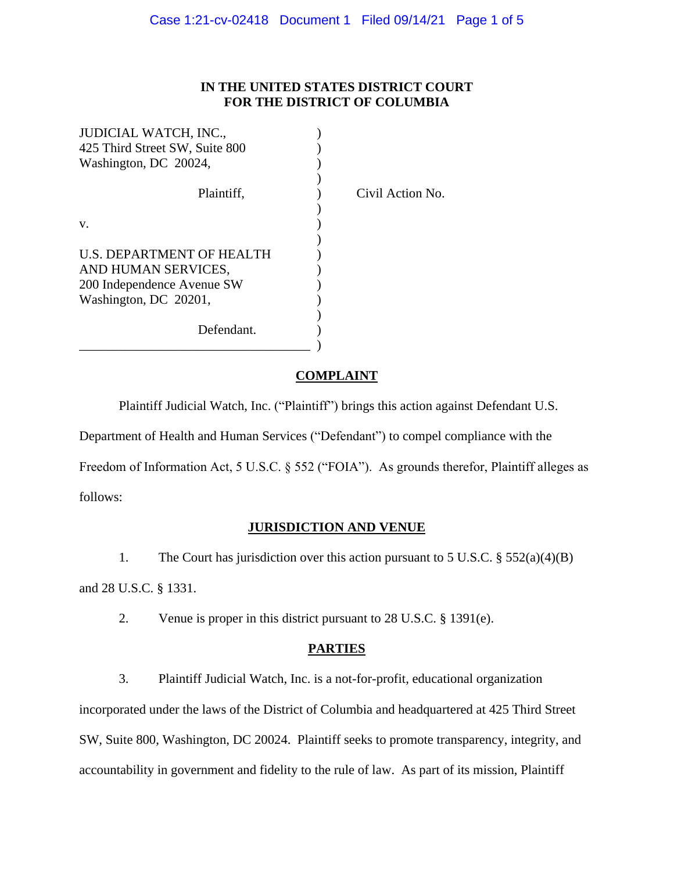# **IN THE UNITED STATES DISTRICT COURT FOR THE DISTRICT OF COLUMBIA**

Action No.

| <b>JUDICIAL WATCH, INC.,</b>   |       |
|--------------------------------|-------|
| 425 Third Street SW, Suite 800 |       |
| Washington, DC 20024,          |       |
|                                |       |
| Plaintiff.                     | Civil |
|                                |       |
| v.                             |       |
|                                |       |
| U.S. DEPARTMENT OF HEALTH      |       |
| AND HUMAN SERVICES,            |       |
| 200 Independence Avenue SW     |       |
| Washington, DC 20201,          |       |
|                                |       |
| Defendant.                     |       |
|                                |       |

## **COMPLAINT**

Plaintiff Judicial Watch, Inc. ("Plaintiff") brings this action against Defendant U.S.

Department of Health and Human Services ("Defendant") to compel compliance with the

Freedom of Information Act, 5 U.S.C. § 552 ("FOIA"). As grounds therefor, Plaintiff alleges as

follows:

## **JURISDICTION AND VENUE**

1. The Court has jurisdiction over this action pursuant to 5 U.S.C.  $\S$  552(a)(4)(B) and 28 U.S.C. § 1331.

2. Venue is proper in this district pursuant to 28 U.S.C. § 1391(e).

# **PARTIES**

3. Plaintiff Judicial Watch, Inc. is a not-for-profit, educational organization

incorporated under the laws of the District of Columbia and headquartered at 425 Third Street SW, Suite 800, Washington, DC 20024. Plaintiff seeks to promote transparency, integrity, and accountability in government and fidelity to the rule of law. As part of its mission, Plaintiff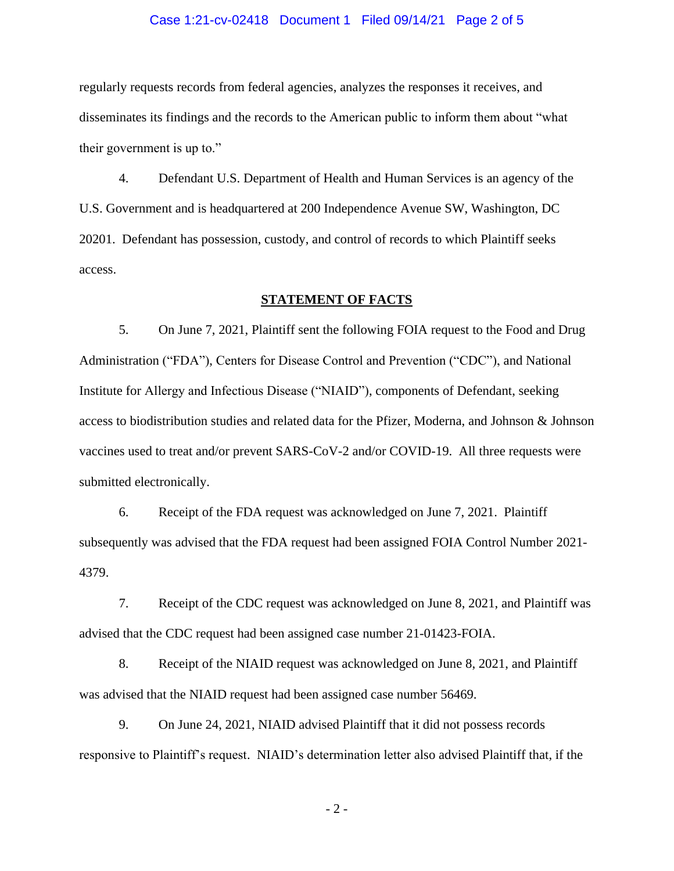#### Case 1:21-cv-02418 Document 1 Filed 09/14/21 Page 2 of 5

regularly requests records from federal agencies, analyzes the responses it receives, and disseminates its findings and the records to the American public to inform them about "what their government is up to."

4. Defendant U.S. Department of Health and Human Services is an agency of the U.S. Government and is headquartered at 200 Independence Avenue SW, Washington, DC 20201. Defendant has possession, custody, and control of records to which Plaintiff seeks access.

#### **STATEMENT OF FACTS**

5. On June 7, 2021, Plaintiff sent the following FOIA request to the Food and Drug Administration ("FDA"), Centers for Disease Control and Prevention ("CDC"), and National Institute for Allergy and Infectious Disease ("NIAID"), components of Defendant, seeking access to biodistribution studies and related data for the Pfizer, Moderna, and Johnson & Johnson vaccines used to treat and/or prevent SARS-CoV-2 and/or COVID-19. All three requests were submitted electronically.

6. Receipt of the FDA request was acknowledged on June 7, 2021. Plaintiff subsequently was advised that the FDA request had been assigned FOIA Control Number 2021- 4379.

7. Receipt of the CDC request was acknowledged on June 8, 2021, and Plaintiff was advised that the CDC request had been assigned case number 21-01423-FOIA.

8. Receipt of the NIAID request was acknowledged on June 8, 2021, and Plaintiff was advised that the NIAID request had been assigned case number 56469.

9. On June 24, 2021, NIAID advised Plaintiff that it did not possess records responsive to Plaintiff's request. NIAID's determination letter also advised Plaintiff that, if the

- 2 -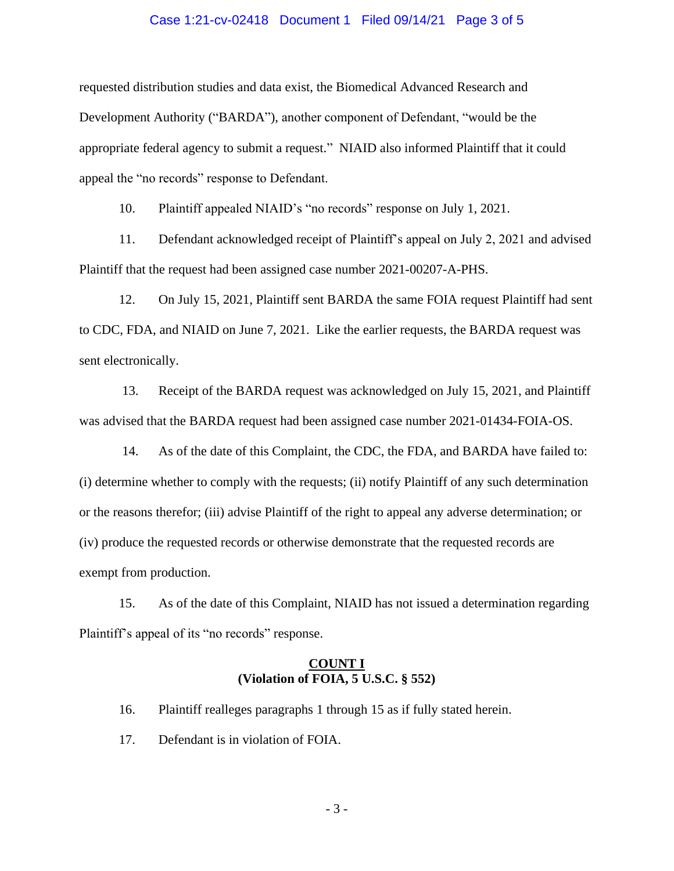#### Case 1:21-cv-02418 Document 1 Filed 09/14/21 Page 3 of 5

requested distribution studies and data exist, the Biomedical Advanced Research and Development Authority ("BARDA"), another component of Defendant, "would be the appropriate federal agency to submit a request." NIAID also informed Plaintiff that it could appeal the "no records" response to Defendant.

10. Plaintiff appealed NIAID's "no records" response on July 1, 2021.

11. Defendant acknowledged receipt of Plaintiff's appeal on July 2, 2021 and advised Plaintiff that the request had been assigned case number 2021-00207-A-PHS.

12. On July 15, 2021, Plaintiff sent BARDA the same FOIA request Plaintiff had sent to CDC, FDA, and NIAID on June 7, 2021. Like the earlier requests, the BARDA request was sent electronically.

13. Receipt of the BARDA request was acknowledged on July 15, 2021, and Plaintiff was advised that the BARDA request had been assigned case number 2021-01434-FOIA-OS.

14. As of the date of this Complaint, the CDC, the FDA, and BARDA have failed to: (i) determine whether to comply with the requests; (ii) notify Plaintiff of any such determination or the reasons therefor; (iii) advise Plaintiff of the right to appeal any adverse determination; or (iv) produce the requested records or otherwise demonstrate that the requested records are exempt from production.

15. As of the date of this Complaint, NIAID has not issued a determination regarding Plaintiff's appeal of its "no records" response.

## **COUNT I (Violation of FOIA, 5 U.S.C. § 552)**

16. Plaintiff realleges paragraphs 1 through 15 as if fully stated herein.

17. Defendant is in violation of FOIA.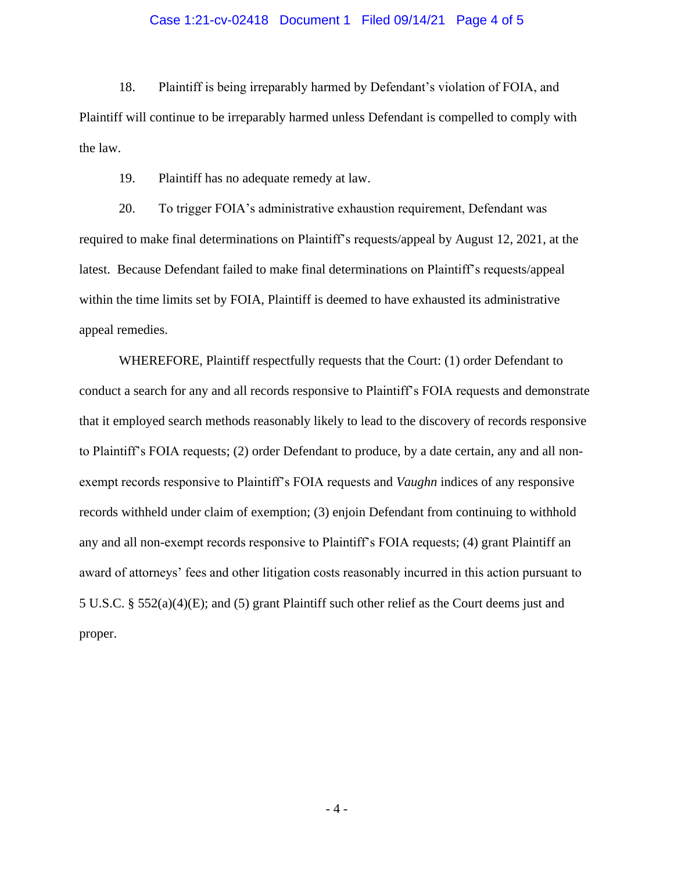#### Case 1:21-cv-02418 Document 1 Filed 09/14/21 Page 4 of 5

18. Plaintiff is being irreparably harmed by Defendant's violation of FOIA, and Plaintiff will continue to be irreparably harmed unless Defendant is compelled to comply with the law.

19. Plaintiff has no adequate remedy at law.

20. To trigger FOIA's administrative exhaustion requirement, Defendant was required to make final determinations on Plaintiff's requests/appeal by August 12, 2021, at the latest. Because Defendant failed to make final determinations on Plaintiff's requests/appeal within the time limits set by FOIA, Plaintiff is deemed to have exhausted its administrative appeal remedies.

WHEREFORE, Plaintiff respectfully requests that the Court: (1) order Defendant to conduct a search for any and all records responsive to Plaintiff's FOIA requests and demonstrate that it employed search methods reasonably likely to lead to the discovery of records responsive to Plaintiff's FOIA requests; (2) order Defendant to produce, by a date certain, any and all nonexempt records responsive to Plaintiff's FOIA requests and *Vaughn* indices of any responsive records withheld under claim of exemption; (3) enjoin Defendant from continuing to withhold any and all non-exempt records responsive to Plaintiff's FOIA requests; (4) grant Plaintiff an award of attorneys' fees and other litigation costs reasonably incurred in this action pursuant to 5 U.S.C. § 552(a)(4)(E); and (5) grant Plaintiff such other relief as the Court deems just and proper.